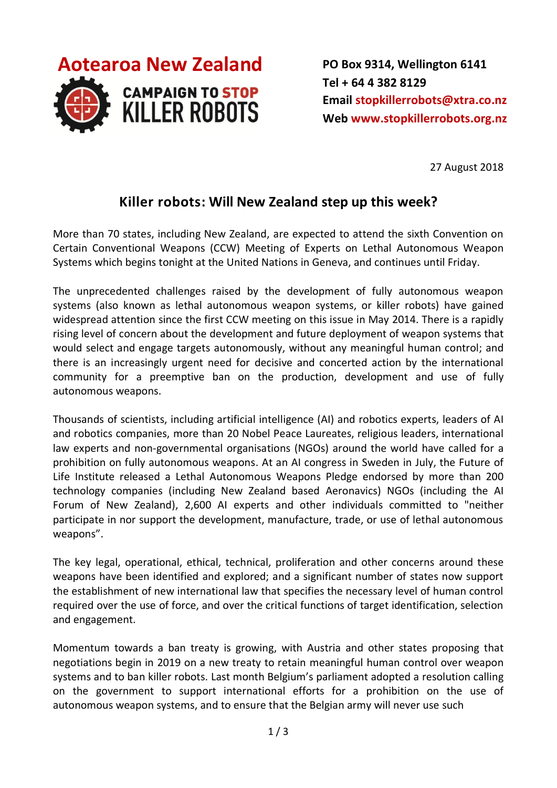

**PO Box 9314, Wellington 6141 Tel + 64 4 382 8129 Email [stopkillerrobots@xtra.co.nz](mailto:stopkillerrobots@xtra.co.nz?subject=Killer%20robots%20release%20August%202018) Web [www.stopkillerrobots.org.nz](http://www.stopkillerrobots.org.nz/)**

27 August 2018

## **Killer robots: Will New Zealand step up this week?**

More than 70 states, including New Zealand, are expected to attend the sixth Convention on Certain Conventional Weapons (CCW) Meeting of Experts on Lethal Autonomous Weapon Systems which begins tonight at the United Nations in Geneva, and continues until Friday.

The unprecedented challenges raised by the development of fully autonomous weapon systems (also known as lethal autonomous weapon systems, or killer robots) have gained widespread attention since the first CCW meeting on this issue in May 2014. There is a rapidly rising level of concern about the development and future deployment of weapon systems that would select and engage targets autonomously, without any meaningful human control; and there is an increasingly urgent need for decisive and concerted action by the international community for a preemptive ban on the production, development and use of fully autonomous weapons.

Thousands of scientists, including artificial intelligence (AI) and robotics experts, leaders of AI and robotics companies, more than 20 Nobel Peace Laureates, religious leaders, international law experts and non-governmental organisations (NGOs) around the world have called for a prohibition on fully autonomous weapons. At an AI congress in Sweden in July, the Future of Life Institute released a Lethal Autonomous Weapons Pledge endorsed by more than 200 technology companies (including New Zealand based Aeronavics) NGOs (including the AI Forum of New Zealand), 2,600 AI experts and other individuals committed to "neither participate in nor support the development, manufacture, trade, or use of lethal autonomous weapons".

The key legal, operational, ethical, technical, proliferation and other concerns around these weapons have been identified and explored; and a significant number of states now support the establishment of new international law that specifies the necessary level of human control required over the use of force, and over the critical functions of target identification, selection and engagement.

Momentum towards a ban treaty is growing, with Austria and other states proposing that negotiations begin in 2019 on a new treaty to retain meaningful human control over weapon systems and to ban killer robots. Last month Belgium's parliament adopted a resolution calling on the government to support international efforts for a prohibition on the use of autonomous weapon systems, and to ensure that the Belgian army will never use such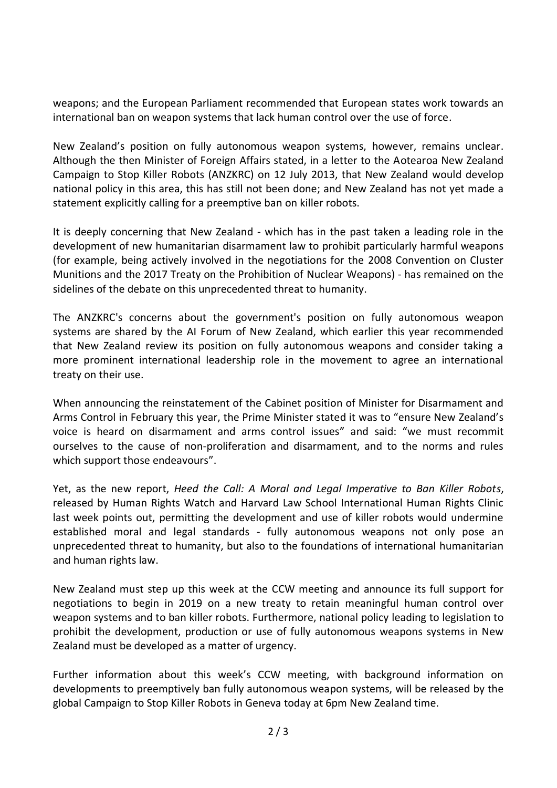weapons; and the European Parliament recommended that European states work towards an international ban on weapon systems that lack human control over the use of force.

New Zealand's position on fully autonomous weapon systems, however, remains unclear. Although the then Minister of Foreign Affairs stated, in a letter to the Aotearoa New Zealand Campaign to Stop Killer Robots (ANZKRC) on 12 July 2013, that New Zealand would develop national policy in this area, this has still not been done; and New Zealand has not yet made a statement explicitly calling for a preemptive ban on killer robots.

It is deeply concerning that New Zealand - which has in the past taken a leading role in the development of new humanitarian disarmament law to prohibit particularly harmful weapons (for example, being actively involved in the negotiations for the 2008 Convention on Cluster Munitions and the 2017 Treaty on the Prohibition of Nuclear Weapons) - has remained on the sidelines of the debate on this unprecedented threat to humanity.

The ANZKRC's concerns about the government's position on fully autonomous weapon systems are shared by the AI Forum of New Zealand, which earlier this year recommended that New Zealand review its position on fully autonomous weapons and consider taking a more prominent international leadership role in the movement to agree an international treaty on their use.

When announcing the reinstatement of the Cabinet position of Minister for Disarmament and Arms Control in February this year, the Prime Minister stated it was to "ensure New Zealand's voice is heard on disarmament and arms control issues" and said: "we must recommit ourselves to the cause of non-proliferation and disarmament, and to the norms and rules which support those endeavours".

Yet, as the new report, *Heed the Call: A Moral and Legal Imperative to Ban Killer Robots*, released by Human Rights Watch and Harvard Law School International Human Rights Clinic last week points out, permitting the development and use of killer robots would undermine established moral and legal standards - fully autonomous weapons not only pose an unprecedented threat to humanity, but also to the foundations of international humanitarian and human rights law.

New Zealand must step up this week at the CCW meeting and announce its full support for negotiations to begin in 2019 on a new treaty to retain meaningful human control over weapon systems and to ban killer robots. Furthermore, national policy leading to legislation to prohibit the development, production or use of fully autonomous weapons systems in New Zealand must be developed as a matter of urgency.

Further information about this week's CCW meeting, with background information on developments to preemptively ban fully autonomous weapon systems, will be released by the global Campaign to Stop Killer Robots in Geneva today at 6pm New Zealand time.